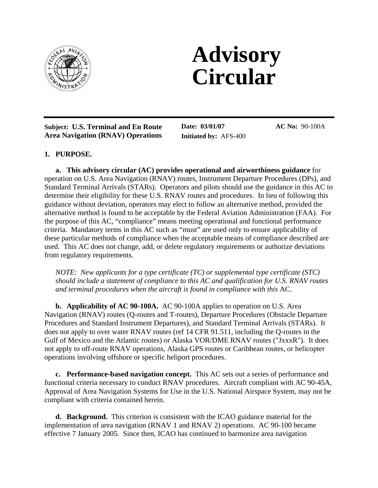

# **Advisory Circular**

**Subject: U.S. Terminal and En Route Area Navigation (RNAV) Operations**

**Date: 03/01/07 Initiated by:** AFS-400 **AC No:** 90-100A

## **1. PURPOSE.**

֦

**a. This advisory circular (AC) provides operational and airworthiness guidance** for operation on U.S. Area Navigation (RNAV) routes, Instrument Departure Procedures (DPs), and Standard Terminal Arrivals (STARs). Operators and pilots should use the guidance in this AC to determine their eligibility for these U.S. RNAV routes and procedures. In lieu of following this guidance without deviation, operators may elect to follow an alternative method, provided the alternative method is found to be acceptable by the Federal Aviation Administration (FAA). For the purpose of this AC, "compliance" means meeting operational and functional performance criteria. Mandatory terms in this AC such as "must" are used only to ensure applicability of these particular methods of compliance when the acceptable means of compliance described are used. This AC does not change, add, or delete regulatory requirements or authorize deviations from regulatory requirements.

*NOTE: New applicants for a type certificate (TC) or supplemental type certificate (STC) should include a statement of compliance to this AC and qualification for U.S. RNAV routes and terminal procedures when the aircraft is found in compliance with this* AC.

**b. Applicability of AC 90-100A.** AC 90-100A applies to operation on U.S. Area Navigation (RNAV) routes (Q-routes and T-routes), Departure Procedures (Obstacle Departure Procedures and Standard Instrument Departures), and Standard Terminal Arrivals (STARs). It does not apply to over water RNAV routes (ref 14 CFR 91.511, including the Q-routes in the Gulf of Mexico and the Atlantic routes) or Alaska VOR/DME RNAV routes ("JxxxR"). It does not apply to off-route RNAV operations, Alaska GPS routes or Caribbean routes, or helicopter operations involving offshore or specific heliport procedures.

**c. Performance-based navigation concept.** This AC sets out a series of performance and functional criteria necessary to conduct RNAV procedures. Aircraft compliant with AC 90-45A, Approval of Area Navigation Systems for Use in the U.S. National Airspace System, may not be compliant with criteria contained herein.

**d. Background.** This criterion is consistent with the ICAO guidance material for the implementation of area navigation (RNAV 1 and RNAV 2) operations. AC 90-100 became effective 7 January 2005. Since then, ICAO has continued to harmonize area navigation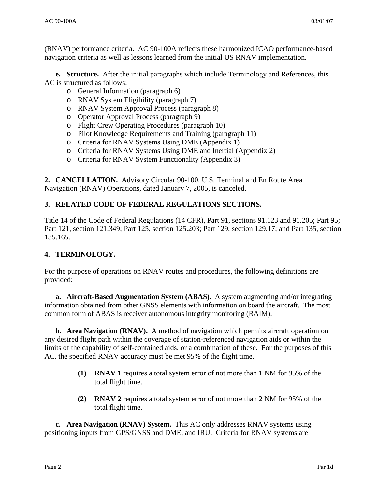(RNAV) performance criteria. AC 90-100A reflects these harmonized ICAO performance-based navigation criteria as well as lessons learned from the initial US RNAV implementation.

**e. Structure.** After the initial paragraphs which include Terminology and References, this AC is structured as follows:

- o General Information (paragraph 6)
- o RNAV System Eligibility (paragraph 7)
- o RNAV System Approval Process (paragraph 8)
- o Operator Approval Process (paragraph 9)
- o Flight Crew Operating Procedures (paragraph 10)
- o Pilot Knowledge Requirements and Training (paragraph 11)
- o Criteria for RNAV Systems Using DME (Appendix 1)
- o Criteria for RNAV Systems Using DME and Inertial (Appendix 2)
- o Criteria for RNAV System Functionality (Appendix 3)

**2. CANCELLATION.** Advisory Circular 90-100, U.S. Terminal and En Route Area Navigation (RNAV) Operations, dated January 7, 2005, is canceled.

# **3. RELATED CODE OF FEDERAL REGULATIONS SECTIONS.**

Title 14 of the Code of Federal Regulations (14 CFR), Part 91, sections 91.123 and 91.205; Part 95; Part 121, section 121.349; Part 125, section 125.203; Part 129, section 129.17; and Part 135, section 135.165.

## **4. TERMINOLOGY.**

For the purpose of operations on RNAV routes and procedures, the following definitions are provided:

**a. Aircraft-Based Augmentation System (ABAS).** A system augmenting and/or integrating information obtained from other GNSS elements with information on board the aircraft. The most common form of ABAS is receiver autonomous integrity monitoring (RAIM).

**b. Area Navigation (RNAV).** A method of navigation which permits aircraft operation on any desired flight path within the coverage of station-referenced navigation aids or within the limits of the capability of self-contained aids, or a combination of these. For the purposes of this AC, the specified RNAV accuracy must be met 95% of the flight time.

- **(1) RNAV 1** requires a total system error of not more than 1 NM for 95% of the total flight time.
- **(2) RNAV 2** requires a total system error of not more than 2 NM for 95% of the total flight time.

**c. Area Navigation (RNAV) System.** This AC only addresses RNAV systems using positioning inputs from GPS/GNSS and DME, and IRU. Criteria for RNAV systems are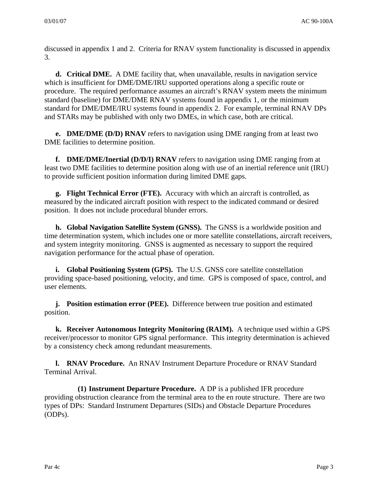discussed in appendix 1 and 2. Criteria for RNAV system functionality is discussed in appendix 3.

**d. Critical DME.** A DME facility that, when unavailable, results in navigation service which is insufficient for DME/DME/IRU supported operations along a specific route or procedure. The required performance assumes an aircraft's RNAV system meets the minimum standard (baseline) for DME/DME RNAV systems found in appendix 1, or the minimum standard for DME/DME/IRU systems found in appendix 2. For example, terminal RNAV DPs and STARs may be published with only two DMEs, in which case, both are critical.

**e. DME/DME (D/D) RNAV** refers to navigation using DME ranging from at least two DME facilities to determine position.

**f. DME/DME/Inertial (D/D/I) RNAV** refers to navigation using DME ranging from at least two DME facilities to determine position along with use of an inertial reference unit (IRU) to provide sufficient position information during limited DME gaps.

**g. Flight Technical Error (FTE).** Accuracy with which an aircraft is controlled, as measured by the indicated aircraft position with respect to the indicated command or desired position. It does not include procedural blunder errors.

**h. Global Navigation Satellite System (GNSS).** The GNSS is a worldwide position and time determination system, which includes one or more satellite constellations, aircraft receivers, and system integrity monitoring. GNSS is augmented as necessary to support the required navigation performance for the actual phase of operation.

**i.** Global Positioning System (GPS). The U.S. GNSS core satellite constellation providing space-based positioning, velocity, and time. GPS is composed of space, control, and user elements.

**j. Position estimation error (PEE).** Difference between true position and estimated position.

**k. Receiver Autonomous Integrity Monitoring (RAIM).** A technique used within a GPS receiver/processor to monitor GPS signal performance. This integrity determination is achieved by a consistency check among redundant measurements.

**l. RNAV Procedure.** An RNAV Instrument Departure Procedure or RNAV Standard Terminal Arrival.

**(1) Instrument Departure Procedure.**A DP is a published IFR procedure providing obstruction clearance from the terminal area to the en route structure. There are two types of DPs: Standard Instrument Departures (SIDs) and Obstacle Departure Procedures (ODPs).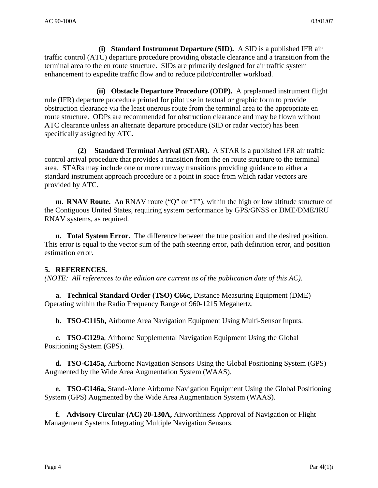**(i) Standard Instrument Departure (SID).** A SID is a published IFR air traffic control (ATC) departure procedure providing obstacle clearance and a transition from the terminal area to the en route structure. SIDs are primarily designed for air traffic system enhancement to expedite traffic flow and to reduce pilot/controller workload.

**(ii) Obstacle Departure Procedure (ODP).** A preplanned instrument flight rule (IFR) departure procedure printed for pilot use in textual or graphic form to provide obstruction clearance via the least onerous route from the terminal area to the appropriate en route structure. ODPs are recommended for obstruction clearance and may be flown without ATC clearance unless an alternate departure procedure (SID or radar vector) has been specifically assigned by ATC.

**(2) Standard Terminal Arrival (STAR).** A STAR is a published IFR air traffic control arrival procedure that provides a transition from the en route structure to the terminal area. STARs may include one or more runway transitions providing guidance to either a standard instrument approach procedure or a point in space from which radar vectors are provided by ATC.

**m. RNAV Route.** An RNAV route ("Q" or "T"), within the high or low altitude structure of the Contiguous United States, requiring system performance by GPS/GNSS or DME/DME/IRU RNAV systems, as required.

**n. Total System Error.** The difference between the true position and the desired position. This error is equal to the vector sum of the path steering error, path definition error, and position estimation error.

## **5. REFERENCES.**

*(NOTE: All references to the edition are current as of the publication date of this AC).*

**a. Technical Standard Order (TSO) C66c,** Distance Measuring Equipment (DME) Operating within the Radio Frequency Range of 960-1215 Megahertz.

**b. TSO-C115b,** Airborne Area Navigation Equipment Using Multi-Sensor Inputs.

**c. TSO-C129a**, Airborne Supplemental Navigation Equipment Using the Global Positioning System (GPS).

**d. TSO-C145a,** Airborne Navigation Sensors Using the Global Positioning System (GPS) Augmented by the Wide Area Augmentation System (WAAS).

**e. TSO-C146a,** Stand-Alone Airborne Navigation Equipment Using the Global Positioning System (GPS) Augmented by the Wide Area Augmentation System (WAAS).

**f. Advisory Circular (AC) 20-130A,** Airworthiness Approval of Navigation or Flight Management Systems Integrating Multiple Navigation Sensors.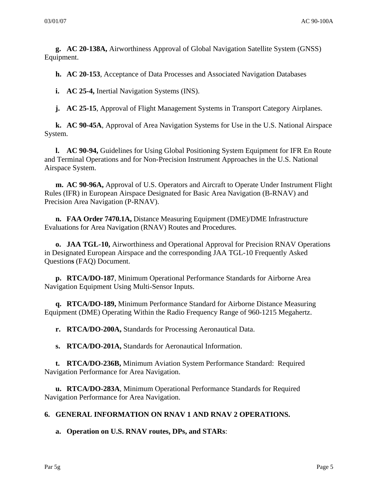**g. AC 20-138A,** Airworthiness Approval of Global Navigation Satellite System (GNSS) Equipment.

**h. AC 20-153**, Acceptance of Data Processes and Associated Navigation Databases

**i.** AC 25-4, Inertial Navigation Systems (INS).

**j.** AC 25-15, Approval of Flight Management Systems in Transport Category Airplanes.

 **k. AC 90-45A**, Approval of Area Navigation Systems for Use in the U.S. National Airspace System.

 **l. AC 90-94,** Guidelines for Using Global Positioning System Equipment for IFR En Route and Terminal Operations and for Non-Precision Instrument Approaches in the U.S. National Airspace System.

**m. AC 90-96A,** Approval of U.S. Operators and Aircraft to Operate Under Instrument Flight Rules (IFR) in European Airspace Designated for Basic Area Navigation (B-RNAV) and Precision Area Navigation (P-RNAV).

**n. FAA Order 7470.1A,** Distance Measuring Equipment (DME)/DME Infrastructure Evaluations for Area Navigation (RNAV) Routes and Procedures.

 **o. JAA TGL-10,** Airworthiness and Operational Approval for Precision RNAV Operations in Designated European Airspace and the corresponding JAA TGL-10 Frequently Asked Question**s** (FAQ) Document.

**p. RTCA/DO-187**, Minimum Operational Performance Standards for Airborne Area Navigation Equipment Using Multi-Sensor Inputs.

 **q. RTCA/DO-189,** Minimum Performance Standard for Airborne Distance Measuring Equipment (DME) Operating Within the Radio Frequency Range of 960-1215 Megahertz.

**r. RTCA/DO-200A,** Standards for Processing Aeronautical Data.

**s. RTCA/DO-201A,** Standards for Aeronautical Information.

**t. RTCA/DO-236B,** Minimum Aviation System Performance Standard: Required Navigation Performance for Area Navigation.

**u. RTCA/DO-283A**, Minimum Operational Performance Standards for Required Navigation Performance for Area Navigation.

#### **6. GENERAL INFORMATION ON RNAV 1 AND RNAV 2 OPERATIONS.**

**a. Operation on U.S. RNAV routes, DPs, and STARs**: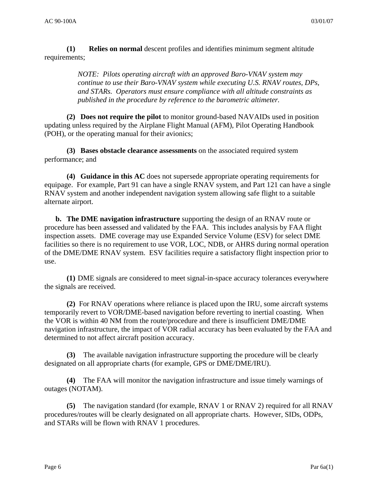**(1) Relies on normal** descent profiles and identifies minimum segment altitude requirements;

> *NOTE: Pilots operating aircraft with an approved Baro-VNAV system may continue to use their Baro-VNAV system while executing U.S. RNAV routes, DPs, and STARs. Operators must ensure compliance with all altitude constraints as published in the procedure by reference to the barometric altimeter.*

 **(2) Does not require the pilot** to monitor ground-based NAVAIDs used in position updating unless required by the Airplane Flight Manual (AFM), Pilot Operating Handbook (POH), or the operating manual for their avionics;

 **(3) Bases obstacle clearance assessments** on the associated required system performance; and

 **(4) Guidance in this AC** does not supersede appropriate operating requirements for equipage. For example, Part 91 can have a single RNAV system, and Part 121 can have a single RNAV system and another independent navigation system allowing safe flight to a suitable alternate airport.

**b. The DME navigation infrastructure** supporting the design of an RNAV route or procedure has been assessed and validated by the FAA. This includes analysis by FAA flight inspection assets. DME coverage may use Expanded Service Volume (ESV) for select DME facilities so there is no requirement to use VOR, LOC, NDB, or AHRS during normal operation of the DME/DME RNAV system. ESV facilities require a satisfactory flight inspection prior to use.

**(1)** DME signals are considered to meet signal-in-space accuracy tolerances everywhere the signals are received.

 **(2)** For RNAV operations where reliance is placed upon the IRU, some aircraft systems temporarily revert to VOR/DME-based navigation before reverting to inertial coasting. When the VOR is within 40 NM from the route/procedure and there is insufficient DME/DME navigation infrastructure, the impact of VOR radial accuracy has been evaluated by the FAA and determined to not affect aircraft position accuracy.

**(3)** The available navigation infrastructure supporting the procedure will be clearly designated on all appropriate charts (for example, GPS or DME/DME/IRU).

**(4)** The FAA will monitor the navigation infrastructure and issue timely warnings of outages (NOTAM).

**(5)** The navigation standard (for example, RNAV 1 or RNAV 2) required for all RNAV procedures/routes will be clearly designated on all appropriate charts. However, SIDs, ODPs, and STARs will be flown with RNAV 1 procedures.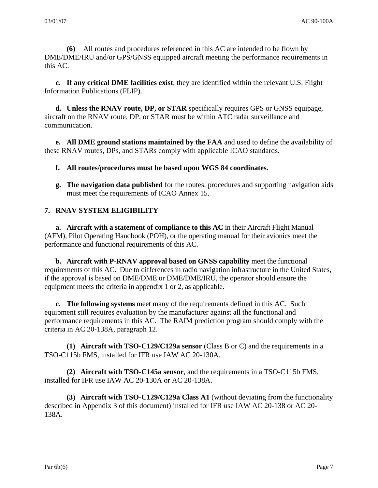**(6)** All routes and procedures referenced in this AC are intended to be flown by DME/DME/IRU and/or GPS/GNSS equipped aircraft meeting the performance requirements in this AC.

**c. If any critical DME facilities exist**, they are identified within the relevant U.S. Flight Information Publications (FLIP).

**d. Unless the RNAV route, DP, or STAR** specifically requires GPS or GNSS equipage, aircraft on the RNAV route, DP, or STAR must be within ATC radar surveillance and communication.

**e. All DME ground stations maintained by the FAA** and used to define the availability of these RNAV routes, DPs, and STARs comply with applicable ICAO standards.

**f. All routes/procedures must be based upon WGS 84 coordinates.** 

**g. The navigation data published** for the routes, procedures and supporting navigation aids must meet the requirements of ICAO Annex 15.

# **7. RNAV SYSTEM ELIGIBILITY**

**a.** Aircraft with a statement of compliance to this AC in their Aircraft Flight Manual (AFM), Pilot Operating Handbook (POH), or the operating manual for their avionics meet the performance and functional requirements of this AC.

 **b. Aircraft with P-RNAV approval based on GNSS capability** meet the functional requirements of this AC. Due to differences in radio navigation infrastructure in the United States, if the approval is based on DME/DME or DME/DME/IRU, the operator should ensure the equipment meets the criteria in appendix 1 or 2, as applicable.

 **c. The following systems** meet many of the requirements defined in this AC. Such equipment still requires evaluation by the manufacturer against all the functional and performance requirements in this AC. The RAIM prediction program should comply with the criteria in AC 20-138A, paragraph 12.

 **(1) Aircraft with TSO-C129/C129a sensor** (Class B or C) and the requirements in a TSO-C115b FMS, installed for IFR use IAW AC 20-130A.

 **(2) Aircraft with TSO-C145a sensor**, and the requirements in a TSO-C115b FMS, installed for IFR use IAW AC 20-130A or AC 20-138A.

**(3) Aircraft with TSO-C129/C129a Class A1** (without deviating from the functionality described in Appendix 3 of this document) installed for IFR use IAW AC 20-138 or AC 20- 138A.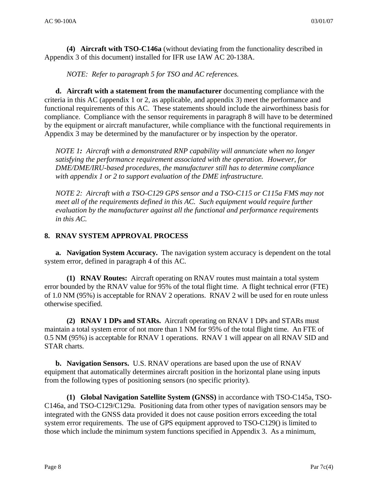**(4) Aircraft with TSO-C146a** (without deviating from the functionality described in Appendix 3 of this document) installed for IFR use IAW AC 20-138A.

*NOTE: Refer to paragraph 5 for TSO and AC references.* 

**d. Aircraft with a statement from the manufacturer** documenting compliance with the criteria in this AC (appendix 1 or 2, as applicable, and appendix 3) meet the performance and functional requirements of this AC. These statements should include the airworthiness basis for compliance. Compliance with the sensor requirements in paragraph 8 will have to be determined by the equipment or aircraft manufacturer, while compliance with the functional requirements in Appendix 3 may be determined by the manufacturer or by inspection by the operator.

*NOTE 1: Aircraft with a demonstrated RNP capability will annunciate when no longer satisfying the performance requirement associated with the operation. However, for DME/DME/IRU-based procedures, the manufacturer still has to determine compliance with appendix 1 or 2 to support evaluation of the DME infrastructure.* 

*NOTE 2: Aircraft with a TSO-C129 GPS sensor and a TSO-C115 or C115a FMS may not meet all of the requirements defined in this AC. Such equipment would require further evaluation by the manufacturer against all the functional and performance requirements in this AC.* 

## **8. RNAV SYSTEM APPROVAL PROCESS**

**a. Navigation System Accuracy.** The navigation system accuracy is dependent on the total system error, defined in paragraph 4 of this AC.

**(1) RNAV Routes:** Aircraft operating on RNAV routes must maintain a total system error bounded by the RNAV value for 95% of the total flight time. A flight technical error (FTE) of 1.0 NM (95%) is acceptable for RNAV 2 operations. RNAV 2 will be used for en route unless otherwise specified.

**(2) RNAV 1 DPs and STARs.** Aircraft operating on RNAV 1 DPs and STARs must maintain a total system error of not more than 1 NM for 95% of the total flight time. An FTE of 0.5 NM (95%) is acceptable for RNAV 1 operations. RNAV 1 will appear on all RNAV SID and STAR charts.

**b. Navigation Sensors.** U.S. RNAV operations are based upon the use of RNAV equipment that automatically determines aircraft position in the horizontal plane using inputs from the following types of positioning sensors (no specific priority).

**(1) Global Navigation Satellite System (GNSS)** in accordance with TSO-C145a, TSO-C146a, and TSO-C129/C129a. Positioning data from other types of navigation sensors may be integrated with the GNSS data provided it does not cause position errors exceeding the total system error requirements. The use of GPS equipment approved to TSO-C129() is limited to those which include the minimum system functions specified in Appendix 3. As a minimum,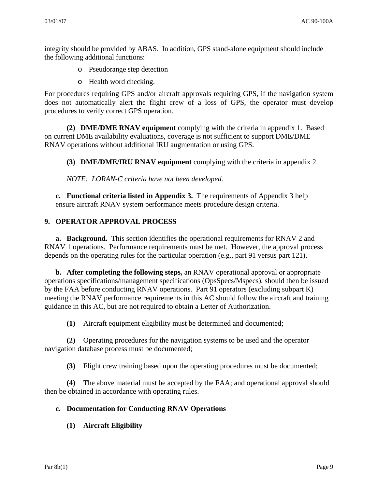integrity should be provided by ABAS. In addition, GPS stand-alone equipment should include the following additional functions:

- o Pseudorange step detection
- o Health word checking.

For procedures requiring GPS and/or aircraft approvals requiring GPS, if the navigation system does not automatically alert the flight crew of a loss of GPS, the operator must develop procedures to verify correct GPS operation.

 **(2) DME/DME RNAV equipment** complying with the criteria in appendix 1. Based on current DME availability evaluations, coverage is not sufficient to support DME/DME RNAV operations without additional IRU augmentation or using GPS.

 **(3) DME/DME/IRU RNAV equipment** complying with the criteria in appendix 2.

*NOTE: LORAN-C criteria have not been developed.*

**c. Functional criteria listed in Appendix 3.** The requirements of Appendix 3 help ensure aircraft RNAV system performance meets procedure design criteria.

#### **9. OPERATOR APPROVAL PROCESS**

**a. Background.** This section identifies the operational requirements for RNAV 2 and RNAV 1 operations. Performance requirements must be met. However, the approval process depends on the operating rules for the particular operation (e.g., part 91 versus part 121).

**b. After completing the following steps,** an RNAV operational approval or appropriate operations specifications/management specifications (OpsSpecs/Mspecs), should then be issued by the FAA before conducting RNAV operations. Part 91 operators (excluding subpart K) meeting the RNAV performance requirements in this AC should follow the aircraft and training guidance in this AC, but are not required to obtain a Letter of Authorization.

**(1)** Aircraft equipment eligibility must be determined and documented;

**(2)** Operating procedures for the navigation systems to be used and the operator navigation database process must be documented;

**(3)** Flight crew training based upon the operating procedures must be documented;

**(4)** The above material must be accepted by the FAA; and operational approval should then be obtained in accordance with operating rules.

## **c. Documentation for Conducting RNAV Operations**

 **(1) Aircraft Eligibility**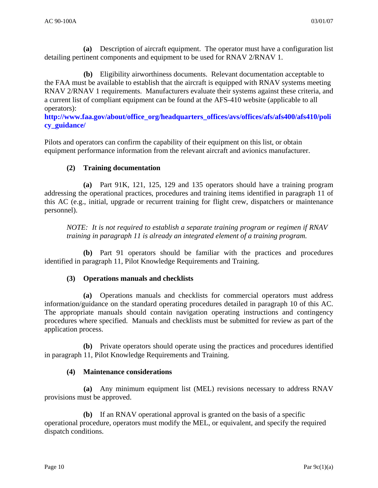**(a)** Description of aircraft equipment. The operator must have a configuration list detailing pertinent components and equipment to be used for RNAV 2/RNAV 1.

**(b)** Eligibility airworthiness documents. Relevant documentation acceptable to the FAA must be available to establish that the aircraft is equipped with RNAV systems meeting RNAV 2/RNAV 1 requirements. Manufacturers evaluate their systems against these criteria, and a current list of compliant equipment can be found at the AFS-410 website (applicable to all operators):

**[http://www.faa.gov/about/office\\_org/headquarters\\_offices/avs/offices/afs/afs400/afs410/poli](http://www.faa.gov/about/office_org/headquarters_offices/avs/offices/afs/afs400/afs410/policy_guidance/) [cy\\_guidance/](http://www.faa.gov/about/office_org/headquarters_offices/avs/offices/afs/afs400/afs410/policy_guidance/)**

Pilots and operators can confirm the capability of their equipment on this list, or obtain equipment performance information from the relevant aircraft and avionics manufacturer.

# **(2) Training documentation**

**(a)** Part 91K, 121, 125, 129 and 135 operators should have a training program addressing the operational practices, procedures and training items identified in paragraph 11 of this AC (e.g., initial, upgrade or recurrent training for flight crew, dispatchers or maintenance personnel).

*NOTE: It is not required to establish a separate training program or regimen if RNAV training in paragraph 11 is already an integrated element of a training program.* 

**(b)** Part 91 operators should be familiar with the practices and procedures identified in paragraph 11, Pilot Knowledge Requirements and Training.

## **(3) Operations manuals and checklists**

**(a)** Operations manuals and checklists for commercial operators must address information/guidance on the standard operating procedures detailed in paragraph 10 of this AC. The appropriate manuals should contain navigation operating instructions and contingency procedures where specified. Manuals and checklists must be submitted for review as part of the application process.

 **(b)** Private operators should operate using the practices and procedures identified in paragraph 11, Pilot Knowledge Requirements and Training.

## **(4) Maintenance considerations**

**(a)** Any minimum equipment list (MEL) revisions necessary to address RNAV provisions must be approved.

**(b)** If an RNAV operational approval is granted on the basis of a specific operational procedure, operators must modify the MEL, or equivalent, and specify the required dispatch conditions.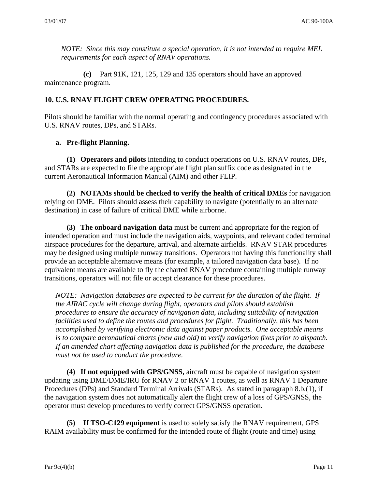*NOTE: Since this may constitute a special operation, it is not intended to require MEL requirements for each aspect of RNAV operations.* 

**(c)** Part 91K, 121, 125, 129 and 135 operators should have an approved maintenance program.

## **10. U.S. RNAV FLIGHT CREW OPERATING PROCEDURES.**

Pilots should be familiar with the normal operating and contingency procedures associated with U.S. RNAV routes, DPs, and STARs.

## **a. Pre-flight Planning.**

 **(1) Operators and pilots** intending to conduct operations on U.S. RNAV routes, DPs, and STARs are expected to file the appropriate flight plan suffix code as designated in the current Aeronautical Information Manual (AIM) and other FLIP.

 **(2) NOTAMs should be checked to verify the health of critical DMEs** for navigation relying on DME. Pilots should assess their capability to navigate (potentially to an alternate destination) in case of failure of critical DME while airborne.

 **(3) The onboard navigation data** must be current and appropriate for the region of intended operation and must include the navigation aids, waypoints, and relevant coded terminal airspace procedures for the departure, arrival, and alternate airfields. RNAV STAR procedures may be designed using multiple runway transitions. Operators not having this functionality shall provide an acceptable alternative means (for example, a tailored navigation data base). If no equivalent means are available to fly the charted RNAV procedure containing multiple runway transitions, operators will not file or accept clearance for these procedures.

*NOTE: Navigation databases are expected to be current for the duration of the flight. If the AIRAC cycle will change during flight, operators and pilots should establish procedures to ensure the accuracy of navigation data, including suitability of navigation facilities used to define the routes and procedures for flight. Traditionally, this has been accomplished by verifying electronic data against paper products. One acceptable means is to compare aeronautical charts (new and old) to verify navigation fixes prior to dispatch. If an amended chart affecting navigation data is published for the procedure, the database must not be used to conduct the procedure.*

 **(4) If not equipped with GPS/GNSS,** aircraft must be capable of navigation system updating using DME/DME/IRU for RNAV 2 or RNAV 1 routes, as well as RNAV 1 Departure Procedures (DPs) and Standard Terminal Arrivals (STARs). As stated in paragraph 8.b.(1), if the navigation system does not automatically alert the flight crew of a loss of GPS/GNSS, the operator must develop procedures to verify correct GPS/GNSS operation.

**(5) If TSO-C129 equipment** is used to solely satisfy the RNAV requirement, GPS RAIM availability must be confirmed for the intended route of flight (route and time) using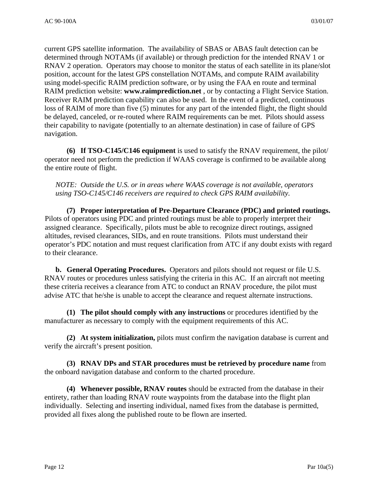current GPS satellite information. The availability of SBAS or ABAS fault detection can be determined through NOTAMs (if available) or through prediction for the intended RNAV 1 or RNAV 2 operation. Operators may choose to monitor the status of each satellite in its plane/slot position, account for the latest GPS constellation NOTAMs, and compute RAIM availability using model-specific RAIM prediction software, or by using the FAA en route and terminal RAIM prediction website: **www.raimprediction.net** , or by contacting a Flight Service Station. Receiver RAIM prediction capability can also be used. In the event of a predicted, continuous loss of RAIM of more than five (5) minutes for any part of the intended flight, the flight should be delayed, canceled, or re-routed where RAIM requirements can be met. Pilots should assess their capability to navigate (potentially to an alternate destination) in case of failure of GPS navigation.

 **(6) If TSO-C145/C146 equipment** is used to satisfy the RNAV requirement, the pilot/ operator need not perform the prediction if WAAS coverage is confirmed to be available along the entire route of flight.

*NOTE: Outside the U.S. or in areas where WAAS coverage is not available, operators using TSO-C145/C146 receivers are required to check GPS RAIM availability.* 

**(7) Proper interpretation of Pre-Departure Clearance (PDC) and printed routings.** Pilots of operators using PDC and printed routings must be able to properly interpret their assigned clearance. Specifically, pilots must be able to recognize direct routings, assigned altitudes, revised clearances, SIDs, and en route transitions. Pilots must understand their operator's PDC notation and must request clarification from ATC if any doubt exists with regard to their clearance.

 **b. General Operating Procedures.** Operators and pilots should not request or file U.S. RNAV routes or procedures unless satisfying the criteria in this AC. If an aircraft not meeting these criteria receives a clearance from ATC to conduct an RNAV procedure, the pilot must advise ATC that he/she is unable to accept the clearance and request alternate instructions.

 **(1) The pilot should comply with any instructions** or procedures identified by the manufacturer as necessary to comply with the equipment requirements of this AC.

 **(2) At system initialization,** pilots must confirm the navigation database is current and verify the aircraft's present position.

 **(3) RNAV DPs and STAR procedures must be retrieved by procedure name** from the onboard navigation database and conform to the charted procedure.

 **(4) Whenever possible, RNAV routes** should be extracted from the database in their entirety, rather than loading RNAV route waypoints from the database into the flight plan individually. Selecting and inserting individual, named fixes from the database is permitted, provided all fixes along the published route to be flown are inserted.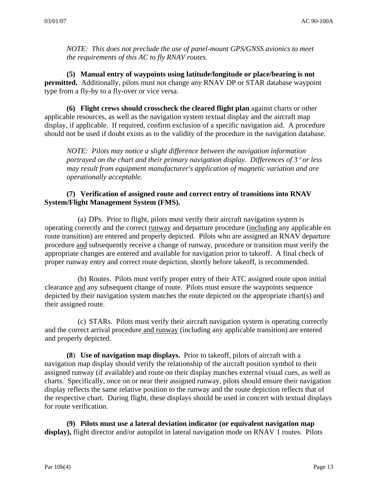*NOTE: This does not preclude the use of panel-mount GPS/GNSS avionics to meet the requirements of this AC to fly RNAV routes.* 

 **(5) Manual entry of waypoints using latitude/longitude or place/bearing is not permitted.** Additionally, pilots must not change any RNAV DP or STAR database waypoint type from a fly-by to a fly-over or vice versa.

 **(6) Flight crews should crosscheck the cleared flight plan** against charts or other applicable resources, as well as the navigation system textual display and the aircraft map display, if applicable. If required, confirm exclusion of a specific navigation aid. A procedure should not be used if doubt exists as to the validity of the procedure in the navigation database.

*NOTE: Pilots may notice a slight difference between the navigation information portrayed on the chart and their primary navigation display. Differences of 3*° *or less may result from equipment manufacturer's application of magnetic variation and are operationally acceptable.* 

#### **(7) Verification of assigned route and correct entry of transitions into RNAV System/Flight Management System (FMS).**

(a) DPs. Prior to flight, pilots must verify their aircraft navigation system is operating correctly and the correct runway and departure procedure (including any applicable en route transition) are entered and properly depicted. Pilots who are assigned an RNAV departure procedure and subsequently receive a change of runway, procedure or transition must verify the appropriate changes are entered and available for navigation prior to takeoff. A final check of proper runway entry and correct route depiction, shortly before takeoff, is recommended.

(b) Routes. Pilots must verify proper entry of their ATC assigned route upon initial clearance and any subsequent change of route. Pilots must ensure the waypoints sequence depicted by their navigation system matches the route depicted on the appropriate chart(s) and their assigned route.

(c) STARs. Pilots must verify their aircraft navigation system is operating correctly and the correct arrival procedure and runway (including any applicable transition) are entered and properly depicted.

**(8**) **Use of navigation map displays.** Prior to takeoff, pilots of aircraft with a navigation map display should verify the relationship of the aircraft position symbol to their assigned runway (if available) and route on their display matches external visual cues, as well as charts. Specifically, once on or near their assigned runway, pilots should ensure their navigation display reflects the same relative position to the runway and the route depiction reflects that of the respective chart. During flight, these displays should be used in concert with textual displays for route verification.

**(9) Pilots must use a lateral deviation indicator (or equivalent navigation map display),** flight director and/or autopilot in lateral navigation mode on RNAV 1 routes. Pilots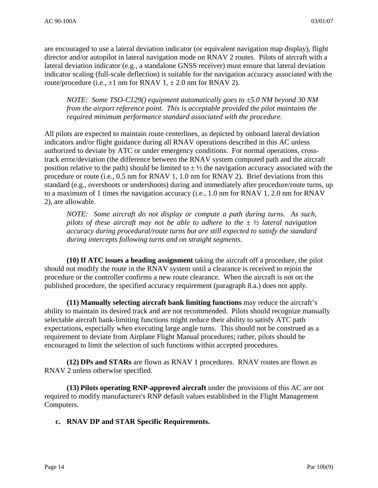are encouraged to use a lateral deviation indicator (or equivalent navigation map display), flight director and/or autopilot in lateral navigation mode on RNAV 2 routes. Pilots of aircraft with a lateral deviation indicator (e.g., a standalone GNSS receiver) must ensure that lateral deviation indicator scaling (full-scale deflection) is suitable for the navigation accuracy associated with the route/procedure (i.e.,  $\pm 1$  nm for RNAV 1,  $\pm 2.0$  nm for RNAV 2).

*NOTE: Some TSO-C129() equipment automatically goes to ±5.0 NM beyond 30 NM from the airport reference point. This is acceptable provided the pilot maintains the required minimum performance standard associated with the procedure.* 

All pilots are expected to maintain route centerlines, as depicted by onboard lateral deviation indicators and/or flight guidance during all RNAV operations described in this AC unless authorized to deviate by ATC or under emergency conditions. For normal operations, crosstrack error/deviation (the difference between the RNAV system computed path and the aircraft position relative to the path) should be limited to  $\pm \frac{1}{2}$  the navigation accuracy associated with the procedure or route (i.e., 0.5 nm for RNAV 1, 1.0 nm for RNAV 2). Brief deviations from this standard (e.g., overshoots or undershoots) during and immediately after procedure/route turns, up to a maximum of 1 times the navigation accuracy (i.e., 1.0 nm for RNAV 1, 2.0 nm for RNAV 2), are allowable.

*NOTE: Some aircraft do not display or compute a path during turns. As such, pilots of these aircraft may not be able to adhere to the ± ½ lateral navigation accuracy during procedural/route turns but are still expected to satisfy the standard during intercepts following turns and on straight segments.* 

**(10) If ATC issues a heading assignment** taking the aircraft off a procedure, the pilot should not modify the route in the RNAV system until a clearance is received to rejoin the procedure or the controller confirms a new route clearance. When the aircraft is not on the published procedure, the specified accuracy requirement (paragraph 8.a.) does not apply.

**(11) Manually selecting aircraft bank limiting functions** may reduce the aircraft's ability to maintain its desired track and are not recommended. Pilots should recognize manually selectable aircraft bank-limiting functions might reduce their ability to satisfy ATC path expectations, especially when executing large angle turns. This should not be construed as a requirement to deviate from Airplane Flight Manual procedures; rather, pilots should be encouraged to limit the selection of such functions within accepted procedures.

 **(12) DPs and STARs** are flown as RNAV 1 procedures.RNAV routes are flown as RNAV 2 unless otherwise specified.

 **(13) Pilots operating RNP-approved aircraft** under the provisions of this AC are not required to modify manufacturer's RNP default values established in the Flight Management Computers.

**c. RNAV DP and STAR Specific Requirements.**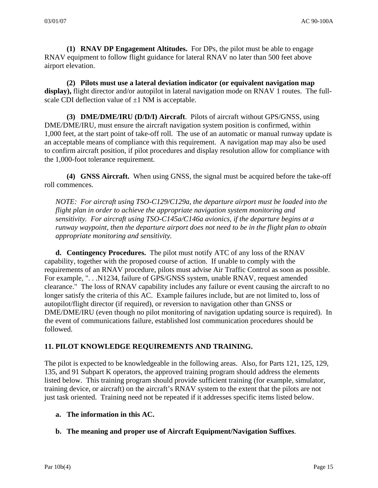**(1) RNAV DP Engagement Altitudes.** For DPs, the pilot must be able to engage RNAV equipment to follow flight guidance for lateral RNAV no later than 500 feet above airport elevation.

 **(2) Pilots must use a lateral deviation indicator (or equivalent navigation map display),** flight director and/or autopilot in lateral navigation mode on RNAV 1 routes. The fullscale CDI deflection value of  $\pm 1$  NM is acceptable.

 **(3) DME/DME/IRU (D/D/I) Aircraft**. Pilots of aircraft without GPS/GNSS, using DME/DME/IRU, must ensure the aircraft navigation system position is confirmed, within 1,000 feet, at the start point of take-off roll. The use of an automatic or manual runway update is an acceptable means of compliance with this requirement. A navigation map may also be used to confirm aircraft position, if pilot procedures and display resolution allow for compliance with the 1,000-foot tolerance requirement.

 **(4) GNSS Aircraft.** When using GNSS, the signal must be acquired before the take-off roll commences.

*NOTE: For aircraft using TSO-C129/C129a, the departure airport must be loaded into the flight plan in order to achieve the appropriate navigation system monitoring and sensitivity. For aircraft using TSO-C145a/C146a avionics, if the departure begins at a runway waypoint, then the departure airport does not need to be in the flight plan to obtain appropriate monitoring and sensitivity.* 

 **d. Contingency Procedures.** The pilot must notify ATC of any loss of the RNAV capability, together with the proposed course of action. If unable to comply with the requirements of an RNAV procedure, pilots must advise Air Traffic Control as soon as possible. For example, ". . .N1234, failure of GPS/GNSS system, unable RNAV, request amended clearance." The loss of RNAV capability includes any failure or event causing the aircraft to no longer satisfy the criteria of this AC. Example failures include, but are not limited to, loss of autopilot/flight director (if required), or reversion to navigation other than GNSS or DME/DME/IRU (even though no pilot monitoring of navigation updating source is required). In the event of communications failure, established lost communication procedures should be followed.

## **11. PILOT KNOWLEDGE REQUIREMENTS AND TRAINING.**

The pilot is expected to be knowledgeable in the following areas. Also, for Parts 121, 125, 129, 135, and 91 Subpart K operators, the approved training program should address the elements listed below. This training program should provide sufficient training (for example, simulator, training device, or aircraft) on the aircraft's RNAV system to the extent that the pilots are not just task oriented. Training need not be repeated if it addresses specific items listed below.

## **a. The information in this AC.**

## **b. The meaning and proper use of Aircraft Equipment/Navigation Suffixes**.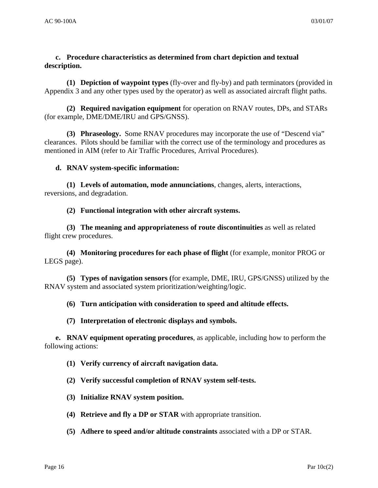## **c. Procedure characteristics as determined from chart depiction and textual description.**

 **(1) Depiction of waypoint types** (fly-over and fly-by) and path terminators (provided in Appendix 3 and any other types used by the operator) as well as associated aircraft flight paths.

 **(2) Required navigation equipment** for operation on RNAV routes, DPs, and STARs (for example, DME/DME/IRU and GPS/GNSS).

**(3) Phraseology.** Some RNAV procedures may incorporate the use of "Descend via" clearances. Pilots should be familiar with the correct use of the terminology and procedures as mentioned in AIM (refer to Air Traffic Procedures, Arrival Procedures).

#### **d. RNAV system-specific information:**

 **(1) Levels of automation, mode annunciations**, changes, alerts, interactions, reversions, and degradation.

**(2) Functional integration with other aircraft systems.** 

 **(3) The meaning and appropriateness of route discontinuities** as well as related flight crew procedures.

 **(4) Monitoring procedures for each phase of flight** (for example, monitor PROG or LEGS page).

 **(5) Types of navigation sensors (**for example, DME, IRU, GPS/GNSS) utilized by the RNAV system and associated system prioritization/weighting/logic.

#### **(6) Turn anticipation with consideration to speed and altitude effects.**

#### **(7) Interpretation of electronic displays and symbols.**

 **e. RNAV equipment operating procedures**, as applicable, including how to perform the following actions:

#### **(1) Verify currency of aircraft navigation data.**

 **(2) Verify successful completion of RNAV system self-tests.**

- **(3) Initialize RNAV system position.**
- **(4) Retrieve and fly a DP or STAR** with appropriate transition.
- **(5) Adhere to speed and/or altitude constraints** associated with a DP or STAR.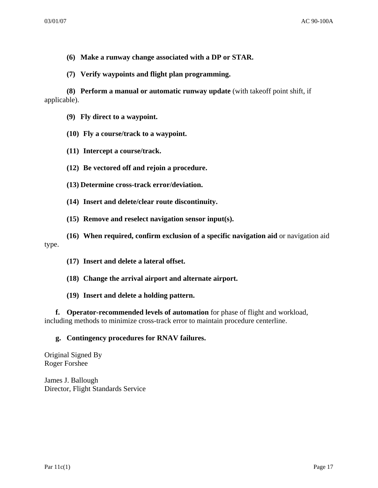- **(6) Make a runway change associated with a DP or STAR.**
- **(7) Verify waypoints and flight plan programming.**

 **(8) Perform a manual or automatic runway update** (with takeoff point shift, if applicable).

- **(9) Fly direct to a waypoint.**
- **(10) Fly a course/track to a waypoint.**
- **(11) Intercept a course/track.**
- **(12) Be vectored off and rejoin a procedure.**
- **(13) Determine cross-track error/deviation.**
- **(14) Insert and delete/clear route discontinuity.**
- **(15) Remove and reselect navigation sensor input(s).**

 **(16) When required, confirm exclusion of a specific navigation aid** or navigation aid type.

- **(17) Insert and delete a lateral offset.**
- **(18) Change the arrival airport and alternate airport.**
- **(19) Insert and delete a holding pattern.**

**f. Operator-recommended levels of automation** for phase of flight and workload, including methods to minimize cross-track error to maintain procedure centerline.

#### **g. Contingency procedures for RNAV failures.**

Original Signed By Roger Forshee

James J. Ballough Director, Flight Standards Service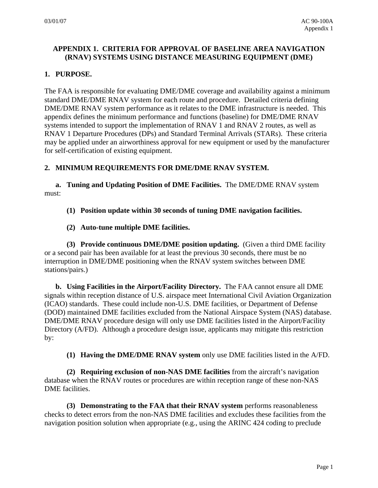# **APPENDIX 1. CRITERIA FOR APPROVAL OF BASELINE AREA NAVIGATION (RNAV) SYSTEMS USING DISTANCE MEASURING EQUIPMENT (DME)**

# **1. PURPOSE.**

The FAA is responsible for evaluating DME/DME coverage and availability against a minimum standard DME/DME RNAV system for each route and procedure. Detailed criteria defining DME/DME RNAV system performance as it relates to the DME infrastructure is needed. This appendix defines the minimum performance and functions (baseline) for DME/DME RNAV systems intended to support the implementation of RNAV 1 and RNAV 2 routes, as well as RNAV 1 Departure Procedures (DPs) and Standard Terminal Arrivals (STARs). These criteria may be applied under an airworthiness approval for new equipment or used by the manufacturer for self-certification of existing equipment.

# **2. MINIMUM REQUIREMENTS FOR DME/DME RNAV SYSTEM.**

 **a. Tuning and Updating Position of DME Facilities.** The DME/DME RNAV system must:

## **(1) Position update within 30 seconds of tuning DME navigation facilities.**

 **(2) Auto-tune multiple DME facilities.** 

 **(3) Provide continuous DME/DME position updating.** (Given a third DME facility or a second pair has been available for at least the previous 30 seconds, there must be no interruption in DME/DME positioning when the RNAV system switches between DME stations/pairs.)

 **b. Using Facilities in the Airport/Facility Directory.** The FAA cannot ensure all DME signals within reception distance of U.S. airspace meet International Civil Aviation Organization (ICAO) standards. These could include non-U.S. DME facilities, or Department of Defense (DOD) maintained DME facilities excluded from the National Airspace System (NAS) database. DME/DME RNAV procedure design will only use DME facilities listed in the Airport/Facility Directory (A/FD). Although a procedure design issue, applicants may mitigate this restriction by:

**(1) Having the DME/DME RNAV system** only use DME facilities listed in the A/FD.

 **(2) Requiring exclusion of non-NAS DME facilities** from the aircraft's navigation database when the RNAV routes or procedures are within reception range of these non-NAS DME facilities.

 **(3) Demonstrating to the FAA that their RNAV system** performs reasonableness checks to detect errors from the non-NAS DME facilities and excludes these facilities from the navigation position solution when appropriate (e.g., using the ARINC 424 coding to preclude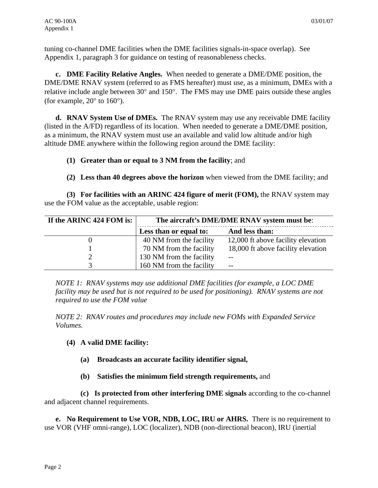tuning co-channel DME facilities when the DME facilities signals-in-space overlap). See Appendix 1, paragraph 3 for guidance on testing of reasonableness checks.

 **c. DME Facility Relative Angles.** When needed to generate a DME/DME position, the DME/DME RNAV system (referred to as FMS hereafter) must use, as a minimum, DMEs with a relative include angle between 30° and 150°. The FMS may use DME pairs outside these angles (for example,  $20^{\circ}$  to  $160^{\circ}$ ).

 **d. RNAV System Use of DMEs.** The RNAV system may use any receivable DME facility (listed in the A/FD) regardless of its location. When needed to generate a DME/DME position, as a minimum, the RNAV system must use an available and valid low altitude and/or high altitude DME anywhere within the following region around the DME facility:

## **(1) Greater than or equal to 3 NM from the facility**; and

**(2) Less than 40 degrees above the horizon** when viewed from the DME facility; and

 **(3) For facilities with an ARINC 424 figure of merit (FOM),** the RNAV system may use the FOM value as the acceptable, usable region:

| If the ARINC 424 FOM is: | The aircraft's DME/DME RNAV system must be: |                                    |
|--------------------------|---------------------------------------------|------------------------------------|
|                          | Less than or equal to:                      | And less than:                     |
|                          | 40 NM from the facility                     | 12,000 ft above facility elevation |
|                          | 70 NM from the facility                     | 18,000 ft above facility elevation |
|                          | 130 NM from the facility                    | $- -$                              |
|                          | 160 NM from the facility                    | $- -$                              |

*NOTE 1: RNAV systems may use additional DME facilities (for example, a LOC DME facility may be used but is not required to be used for positioning). RNAV systems are not required to use the FOM value* 

*NOTE 2: RNAV routes and procedures may include new FOMs with Expanded Service Volumes.* 

# **(4) A valid DME facility:**

- **(a) Broadcasts an accurate facility identifier signal,**
- **(b) Satisfies the minimum field strength requirements,** and

 **(c) Is protected from other interfering DME signals** according to the co-channel and adjacent channel requirements.

 **e. No Requirement to Use VOR, NDB, LOC, IRU or AHRS.** There is no requirement to use VOR (VHF omni-range), LOC (localizer), NDB (non-directional beacon), IRU (inertial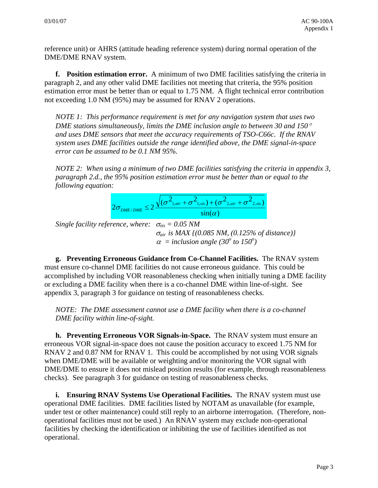reference unit) or AHRS (attitude heading reference system) during normal operation of the DME/DME RNAV system.

 **f. Position estimation error.** A minimum of two DME facilities satisfying the criteria in paragraph 2, and any other valid DME facilities not meeting that criteria, the 95% position estimation error must be better than or equal to 1.75 NM. A flight technical error contribution not exceeding 1.0 NM (95%) may be assumed for RNAV 2 operations.

*NOTE 1: This performance requirement is met for any navigation system that uses two DME stations simultaneously, limits the DME inclusion angle to between 30 and 150*° *and uses DME sensors that meet the accuracy requirements of TSO-C66c. If the RNAV system uses DME facilities outside the range identified above, the DME signal-in-space error can be assumed to be 0.1 NM 95%.* 

*NOTE 2: When using a minimum of two DME facilities satisfying the criteria in appendix 3, paragraph 2.d., the 95% position estimation error must be better than or equal to the following equation:* 



*Single facility reference, where:*  $\sigma_{\rm sig} = 0.05$  *NM* <sup>σ</sup>*air is MAX {(0.085 NM, (0.125% of distance)}*   $\alpha$  = *inclusion angle (30<sup>°</sup> to 150<sup>°</sup>)* 

 **g. Preventing Erroneous Guidance from Co-Channel Facilities.** The RNAV system must ensure co-channel DME facilities do not cause erroneous guidance. This could be accomplished by including VOR reasonableness checking when initially tuning a DME facility or excluding a DME facility when there is a co-channel DME within line-of-sight. See appendix 3, paragraph 3 for guidance on testing of reasonableness checks.

*NOTE: The DME assessment cannot use a DME facility when there is a co-channel DME facility within line-of-sight.* 

 **h. Preventing Erroneous VOR Signals-in-Space.** The RNAV system must ensure an erroneous VOR signal-in-space does not cause the position accuracy to exceed 1.75 NM for RNAV 2 and 0.87 NM for RNAV 1. This could be accomplished by not using VOR signals when DME/DME will be available or weighting and/or monitoring the VOR signal with DME/DME to ensure it does not mislead position results (for example, through reasonableness checks). See paragraph 3 for guidance on testing of reasonableness checks.

 **i. Ensuring RNAV Systems Use Operational Facilities.** The RNAV system must use operational DME facilities. DME facilities listed by NOTAM as unavailable (for example, under test or other maintenance) could still reply to an airborne interrogation. (Therefore, nonoperational facilities must not be used.) An RNAV system may exclude non-operational facilities by checking the identification or inhibiting the use of facilities identified as not operational.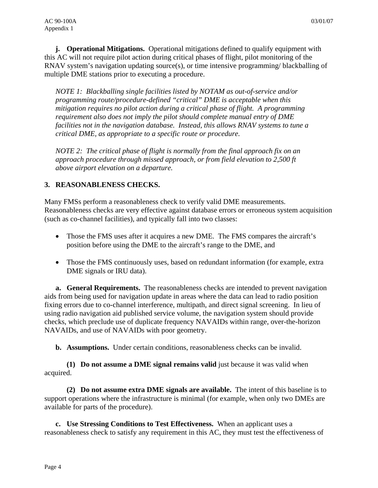**j. Operational Mitigations.** Operational mitigations defined to qualify equipment with this AC will not require pilot action during critical phases of flight, pilot monitoring of the RNAV system's navigation updating source(s), or time intensive programming/ blackballing of multiple DME stations prior to executing a procedure.

*NOTE 1: Blackballing single facilities listed by NOTAM as out-of-service and/or programming route/procedure-defined "critical" DME is acceptable when this mitigation requires no pilot action during a critical phase of flight. A programming requirement also does not imply the pilot should complete manual entry of DME facilities not in the navigation database. Instead, this allows RNAV systems to tune a critical DME, as appropriate to a specific route or procedure.* 

*NOTE 2: The critical phase of flight is normally from the final approach fix on an approach procedure through missed approach, or from field elevation to 2,500 ft above airport elevation on a departure.* 

## **3. REASONABLENESS CHECKS.**

Many FMSs perform a reasonableness check to verify valid DME measurements. Reasonableness checks are very effective against database errors or erroneous system acquisition (such as co-channel facilities), and typically fall into two classes:

- Those the FMS uses after it acquires a new DME. The FMS compares the aircraft's position before using the DME to the aircraft's range to the DME, and
- Those the FMS continuously uses, based on redundant information (for example, extra DME signals or IRU data).

 **a. General Requirements.** The reasonableness checks are intended to prevent navigation aids from being used for navigation update in areas where the data can lead to radio position fixing errors due to co-channel interference, multipath, and direct signal screening. In lieu of using radio navigation aid published service volume, the navigation system should provide checks, which preclude use of duplicate frequency NAVAIDs within range, over-the-horizon NAVAIDs, and use of NAVAIDs with poor geometry.

**b.** Assumptions. Under certain conditions, reasonableness checks can be invalid.

 **(1) Do not assume a DME signal remains valid** just because it was valid when acquired.

 **(2) Do not assume extra DME signals are available.** The intent of this baseline is to support operations where the infrastructure is minimal (for example, when only two DMEs are available for parts of the procedure).

 **c. Use Stressing Conditions to Test Effectiveness.** When an applicant uses a reasonableness check to satisfy any requirement in this AC, they must test the effectiveness of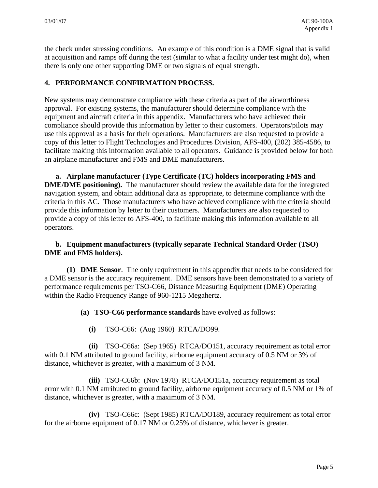the check under stressing conditions. An example of this condition is a DME signal that is valid at acquisition and ramps off during the test (similar to what a facility under test might do), when there is only one other supporting DME or two signals of equal strength.

## **4. PERFORMANCE CONFIRMATION PROCESS.**

New systems may demonstrate compliance with these criteria as part of the airworthiness approval.For existing systems, the manufacturer should determine compliance with the equipment and aircraft criteria in this appendix. Manufacturers who have achieved their compliance should provide this information by letter to their customers. Operators/pilots may use this approval as a basis for their operations. Manufacturers are also requested to provide a copy of this letter to Flight Technologies and Procedures Division, AFS-400, (202) 385-4586, to facilitate making this information available to all operators. Guidance is provided below for both an airplane manufacturer and FMS and DME manufacturers.

 **a. Airplane manufacturer (Type Certificate (TC) holders incorporating FMS and DME/DME positioning).** The manufacturer should review the available data for the integrated navigation system, and obtain additional data as appropriate, to determine compliance with the criteria in this AC. Those manufacturers who have achieved compliance with the criteria should provide this information by letter to their customers. Manufacturers are also requested to provide a copy of this letter to AFS-400, to facilitate making this information available to all operators.

## **b. Equipment manufacturers (typically separate Technical Standard Order (TSO) DME and FMS holders).**

 **(1) DME Sensor**. The only requirement in this appendix that needs to be considered for a DME sensor is the accuracy requirement. DME sensors have been demonstrated to a variety of performance requirements per TSO-C66, Distance Measuring Equipment (DME) Operating within the Radio Frequency Range of 960-1215 Megahertz.

**(a) TSO-C66 performance standards** have evolved as follows:

**(i)** TSO-C66: (Aug 1960) RTCA/DO99.

 **(ii)** TSO-C66a: (Sep 1965) RTCA/DO151, accuracy requirement as total error with 0.1 NM attributed to ground facility, airborne equipment accuracy of 0.5 NM or 3% of distance, whichever is greater, with a maximum of 3 NM.

 **(iii)** TSO-C66b: (Nov 1978) RTCA/DO151a, accuracy requirement as total error with 0.1 NM attributed to ground facility, airborne equipment accuracy of 0.5 NM or 1% of distance, whichever is greater, with a maximum of 3 NM.

 **(iv)** TSO-C66c: (Sept 1985) RTCA/DO189, accuracy requirement as total error for the airborne equipment of 0.17 NM or 0.25% of distance, whichever is greater.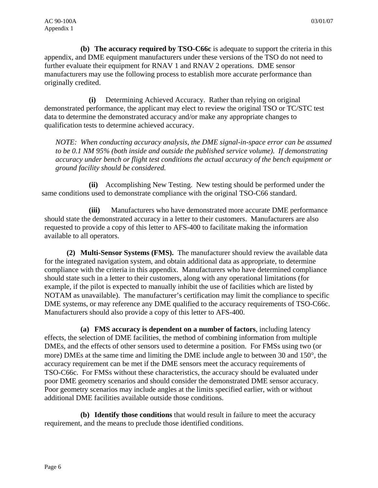**(b) The accuracy required by TSO-C66c** is adequate to support the criteria in this appendix, and DME equipment manufacturers under these versions of the TSO do not need to further evaluate their equipment for RNAV 1 and RNAV 2 operations. DME sensor manufacturers may use the following process to establish more accurate performance than originally credited.

 **(i)** Determining Achieved Accuracy. Rather than relying on original demonstrated performance, the applicant may elect to review the original TSO or TC/STC test data to determine the demonstrated accuracy and/or make any appropriate changes to qualification tests to determine achieved accuracy.

*NOTE: When conducting accuracy analysis, the DME signal-in-space error can be assumed to be 0.1 NM 95% (both inside and outside the published service volume). If demonstrating accuracy under bench or flight test conditions the actual accuracy of the bench equipment or ground facility should be considered.* 

 **(ii)** Accomplishing New Testing. New testing should be performed under the same conditions used to demonstrate compliance with the original TSO-C66 standard.

 **(iii)** Manufacturers who have demonstrated more accurate DME performance should state the demonstrated accuracy in a letter to their customers. Manufacturers are also requested to provide a copy of this letter to AFS-400 to facilitate making the information available to all operators.

 **(2) Multi-Sensor Systems (FMS).** The manufacturer should review the available data for the integrated navigation system, and obtain additional data as appropriate, to determine compliance with the criteria in this appendix. Manufacturers who have determined compliance should state such in a letter to their customers, along with any operational limitations (for example, if the pilot is expected to manually inhibit the use of facilities which are listed by NOTAM as unavailable). The manufacturer's certification may limit the compliance to specific DME systems, or may reference any DME qualified to the accuracy requirements of TSO-C66c. Manufacturers should also provide a copy of this letter to AFS-400.

 **(a) FMS accuracy is dependent on a number of factors**, including latency effects, the selection of DME facilities, the method of combining information from multiple DMEs, and the effects of other sensors used to determine a position. For FMSs using two (or more) DMEs at the same time and limiting the DME include angle to between 30 and 150°, the accuracy requirement can be met if the DME sensors meet the accuracy requirements of TSO-C66c. For FMSs without these characteristics, the accuracy should be evaluated under poor DME geometry scenarios and should consider the demonstrated DME sensor accuracy. Poor geometry scenarios may include angles at the limits specified earlier, with or without additional DME facilities available outside those conditions.

 **(b) Identify those conditions** that would result in failure to meet the accuracy requirement, and the means to preclude those identified conditions.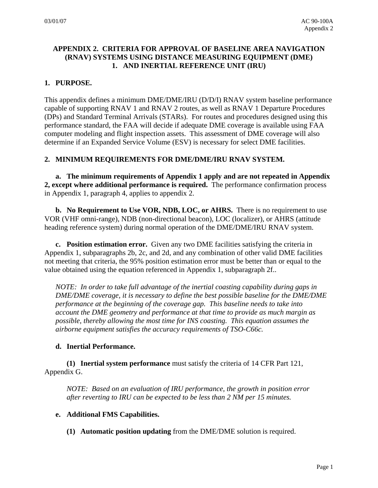## **APPENDIX 2. CRITERIA FOR APPROVAL OF BASELINE AREA NAVIGATION (RNAV) SYSTEMS USING DISTANCE MEASURING EQUIPMENT (DME) 1. AND INERTIAL REFERENCE UNIT (IRU)**

## **1. PURPOSE.**

This appendix defines a minimum DME/DME/IRU (D/D/I) RNAV system baseline performance capable of supporting RNAV 1 and RNAV 2 routes, as well as RNAV 1 Departure Procedures (DPs) and Standard Terminal Arrivals (STARs). For routes and procedures designed using this performance standard, the FAA will decide if adequate DME coverage is available using FAA computer modeling and flight inspection assets. This assessment of DME coverage will also determine if an Expanded Service Volume (ESV) is necessary for select DME facilities.

## **2. MINIMUM REQUIREMENTS FOR DME/DME/IRU RNAV SYSTEM.**

**a. The minimum requirements of Appendix 1 apply and are not repeated in Appendix 2, except where additional performance is required.** The performance confirmation process in Appendix 1, paragraph 4, applies to appendix 2.

 **b. No Requirement to Use VOR, NDB, LOC, or AHRS.** There is no requirement to use VOR (VHF omni-range), NDB (non-directional beacon), LOC (localizer), or AHRS (attitude heading reference system) during normal operation of the DME/DME/IRU RNAV system.

 **c. Position estimation error.** Given any two DME facilities satisfying the criteria in Appendix 1, subparagraphs 2b, 2c, and 2d, and any combination of other valid DME facilities not meeting that criteria, the 95% position estimation error must be better than or equal to the value obtained using the equation referenced in Appendix 1, subparagraph 2f..

*NOTE: In order to take full advantage of the inertial coasting capability during gaps in DME/DME coverage, it is necessary to define the best possible baseline for the DME/DME performance at the beginning of the coverage gap. This baseline needs to take into account the DME geometry and performance at that time to provide as much margin as possible, thereby allowing the most time for INS coasting. This equation assumes the airborne equipment satisfies the accuracy requirements of TSO-C66c.* 

## **d. Inertial Performance.**

 **(1) Inertial system performance** must satisfy the criteria of 14 CFR Part 121, Appendix G.

*NOTE: Based on an evaluation of IRU performance, the growth in position error after reverting to IRU can be expected to be less than 2 NM per 15 minutes.* 

#### **e. Additional FMS Capabilities.**

**(1) Automatic position updating** from the DME/DME solution is required.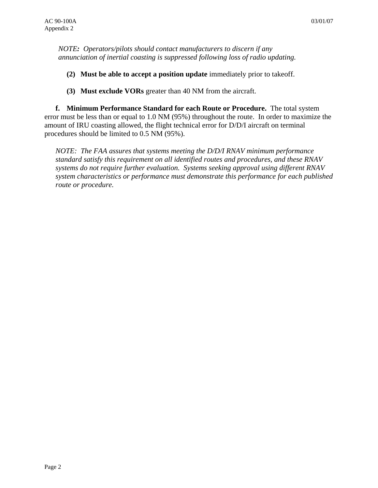*NOTE: Operators/pilots should contact manufacturers to discern if any annunciation of inertial coasting is suppressed following loss of radio updating.* 

- **(2) Must be able to accept a position update** immediately prior to takeoff.
- **(3) Must exclude VORs** greater than 40 NM from the aircraft.

 **f. Minimum Performance Standard for each Route or Procedure.** The total system error must be less than or equal to 1.0 NM (95%) throughout the route. In order to maximize the amount of IRU coasting allowed, the flight technical error for D/D/I aircraft on terminal procedures should be limited to 0.5 NM (95%).

*NOTE: The FAA assures that systems meeting the D/D/I RNAV minimum performance standard satisfy this requirement on all identified routes and procedures, and these RNAV systems do not require further evaluation. Systems seeking approval using different RNAV system characteristics or performance must demonstrate this performance for each published route or procedure.*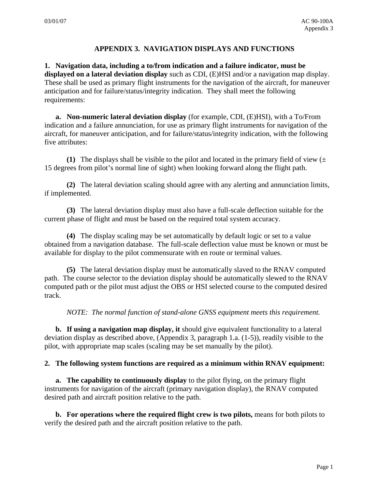# **APPENDIX 3. NAVIGATION DISPLAYS AND FUNCTIONS**

**1. Navigation data, including a to/from indication and a failure indicator, must be displayed on a lateral deviation display** such as CDI, (E)HSI and/or a navigation map display. These shall be used as primary flight instruments for the navigation of the aircraft, for maneuver anticipation and for failure/status/integrity indication. They shall meet the following requirements:

**a. Non-numeric lateral deviation display** (for example, CDI, (E)HSI), with a To/From indication and a failure annunciation, for use as primary flight instruments for navigation of the aircraft, for maneuver anticipation, and for failure/status/integrity indication, with the following five attributes:

**(1)** The displays shall be visible to the pilot and located in the primary field of view  $(\pm$ 15 degrees from pilot's normal line of sight) when looking forward along the flight path.

 **(2)** The lateral deviation scaling should agree with any alerting and annunciation limits, if implemented.

**(3)** The lateral deviation display must also have a full-scale deflection suitable for the current phase of flight and must be based on the required total system accuracy.

 **(4)** The display scaling may be set automatically by default logic or set to a value obtained from a navigation database. The full-scale deflection value must be known or must be available for display to the pilot commensurate with en route or terminal values.

**(5)** The lateral deviation display must be automatically slaved to the RNAV computed path. The course selector to the deviation display should be automatically slewed to the RNAV computed path or the pilot must adjust the OBS or HSI selected course to the computed desired track.

*NOTE: The normal function of stand-alone GNSS equipment meets this requirement.*

**b. If using a navigation map display, it** should give equivalent functionality to a lateral deviation display as described above, (Appendix 3, paragraph 1.a. (1-5)), readily visible to the pilot, with appropriate map scales (scaling may be set manually by the pilot).

## **2. The following system functions are required as a minimum within RNAV equipment:**

**a. The capability to continuously display** to the pilot flying, on the primary flight instruments for navigation of the aircraft (primary navigation display), the RNAV computed desired path and aircraft position relative to the path.

**b. For operations where the required flight crew is two pilots,** means for both pilots to verify the desired path and the aircraft position relative to the path.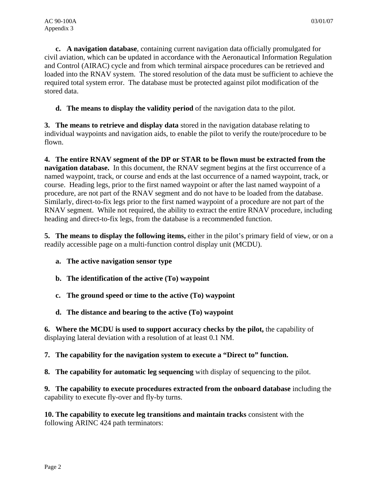**c. A navigation database**, containing current navigation data officially promulgated for civil aviation, which can be updated in accordance with the Aeronautical Information Regulation and Control (AIRAC) cycle and from which terminal airspace procedures can be retrieved and loaded into the RNAV system. The stored resolution of the data must be sufficient to achieve the required total system error. The database must be protected against pilot modification of the stored data.

**d. The means to display the validity period** of the navigation data to the pilot.

**3. The means to retrieve and display data** stored in the navigation database relating to individual waypoints and navigation aids, to enable the pilot to verify the route/procedure to be flown.

**4. The entire RNAV segment of the DP or STAR to be flown must be extracted from the navigation database.** In this document, the RNAV segment begins at the first occurrence of a named waypoint, track, or course and ends at the last occurrence of a named waypoint, track, or course. Heading legs, prior to the first named waypoint or after the last named waypoint of a procedure, are not part of the RNAV segment and do not have to be loaded from the database. Similarly, direct-to-fix legs prior to the first named waypoint of a procedure are not part of the RNAV segment. While not required, the ability to extract the entire RNAV procedure, including heading and direct-to-fix legs, from the database is a recommended function.

**5. The means to display the following items,** either in the pilot's primary field of view, or on a readily accessible page on a multi-function control display unit (MCDU).

- **a. The active navigation sensor type**
- **b. The identification of the active (To) waypoint**
- **c. The ground speed or time to the active (To) waypoint**
- **d. The distance and bearing to the active (To) waypoint**

**6. Where the MCDU is used to support accuracy checks by the pilot,** the capability of displaying lateral deviation with a resolution of at least 0.1 NM.

## **7. The capability for the navigation system to execute a "Direct to" function.**

**8.** The capability for automatic leg sequencing with display of sequencing to the pilot.

**9. The capability to execute procedures extracted from the onboard database** including the capability to execute fly-over and fly-by turns.

**10. The capability to execute leg transitions and maintain tracks** consistent with the following ARINC 424 path terminators: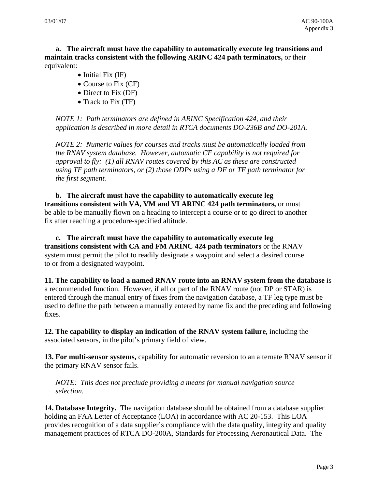**a. The aircraft must have the capability to automatically execute leg transitions and maintain tracks consistent with the following ARINC 424 path terminators,** or their equivalent:

- Initial Fix (IF)
- Course to Fix (CF)
- Direct to Fix (DF)
- Track to Fix (TF)

*NOTE 1: Path terminators are defined in ARINC Specification 424, and their application is described in more detail in RTCA documents DO-236B and DO-201A.* 

*NOTE 2: Numeric values for courses and tracks must be automatically loaded from the RNAV system database. However, automatic CF capability is not required for approval to fly: (1) all RNAV routes covered by this AC as these are constructed using TF path terminators, or (2) those ODPs using a DF or TF path terminator for the first segment.* 

**b. The aircraft must have the capability to automatically execute leg transitions consistent with VA, VM and VI ARINC 424 path terminators,** or must be able to be manually flown on a heading to intercept a course or to go direct to another fix after reaching a procedure-specified altitude.

**c. The aircraft must have the capability to automatically execute leg transitions consistent with CA and FM ARINC 424 path terminators** or the RNAV system must permit the pilot to readily designate a waypoint and select a desired course to or from a designated waypoint.

**11. The capability to load a named RNAV route into an RNAV system from the database** is a recommended function. However, if all or part of the RNAV route (not DP or STAR) is entered through the manual entry of fixes from the navigation database, a TF leg type must be used to define the path between a manually entered by name fix and the preceding and following fixes.

**12. The capability to display an indication of the RNAV system failure**, including the associated sensors, in the pilot's primary field of view.

**13. For multi-sensor systems,** capability for automatic reversion to an alternate RNAV sensor if the primary RNAV sensor fails.

*NOTE: This does not preclude providing a means for manual navigation source selection.* 

**14. Database Integrity.** The navigation database should be obtained from a database supplier holding an FAA Letter of Acceptance (LOA) in accordance with AC 20-153. This LOA provides recognition of a data supplier's compliance with the data quality, integrity and quality management practices of RTCA DO-200A, Standards for Processing Aeronautical Data. The